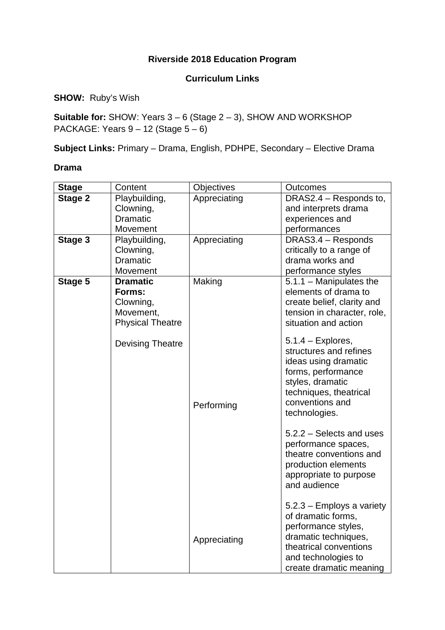## **Riverside 2018 Education Program**

### **Curriculum Links**

**SHOW:** Ruby's Wish

**Suitable for:** SHOW: Years 3 – 6 (Stage 2 – 3), SHOW AND WORKSHOP PACKAGE: Years 9 – 12 (Stage 5 – 6)

**Subject Links:** Primary – Drama, English, PDHPE, Secondary – Elective Drama

#### **Drama**

| <b>Stage</b> | Content                                                                        | Objectives   | <b>Outcomes</b>                                                                                                                                                              |
|--------------|--------------------------------------------------------------------------------|--------------|------------------------------------------------------------------------------------------------------------------------------------------------------------------------------|
| Stage 2      | Playbuilding,<br>Clowning,                                                     | Appreciating | DRAS2.4 - Responds to,<br>and interprets drama                                                                                                                               |
|              | Dramatic                                                                       |              | experiences and                                                                                                                                                              |
|              | Movement                                                                       |              | performances                                                                                                                                                                 |
| Stage 3      | Playbuilding,                                                                  | Appreciating | DRAS3.4 - Responds                                                                                                                                                           |
|              | Clowning,                                                                      |              | critically to a range of                                                                                                                                                     |
|              | <b>Dramatic</b>                                                                |              | drama works and                                                                                                                                                              |
|              | Movement                                                                       |              | performance styles                                                                                                                                                           |
| Stage 5      | <b>Dramatic</b><br>Forms:<br>Clowning,<br>Movement,<br><b>Physical Theatre</b> | Making       | $5.1.1 -$ Manipulates the<br>elements of drama to<br>create belief, clarity and<br>tension in character, role,<br>situation and action<br>$5.1.4$ – Explores,                |
|              | <b>Devising Theatre</b>                                                        | Performing   | structures and refines<br>ideas using dramatic<br>forms, performance<br>styles, dramatic<br>techniques, theatrical<br>conventions and<br>technologies.                       |
|              |                                                                                |              | 5.2.2 – Selects and uses<br>performance spaces,<br>theatre conventions and<br>production elements<br>appropriate to purpose<br>and audience                                  |
|              |                                                                                | Appreciating | $5.2.3$ – Employs a variety<br>of dramatic forms,<br>performance styles,<br>dramatic techniques,<br>theatrical conventions<br>and technologies to<br>create dramatic meaning |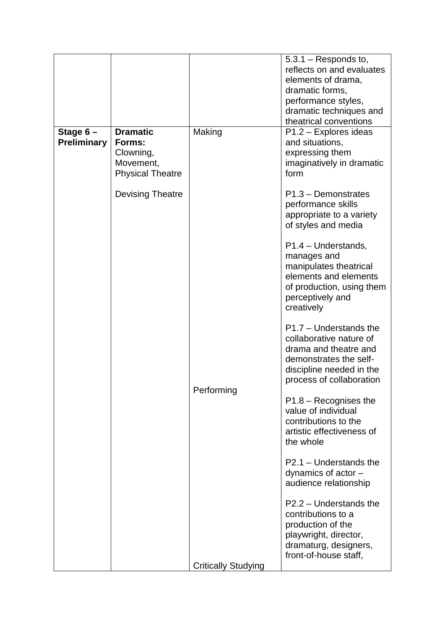|                                  |                                                                                |                            | $5.3.1 -$ Responds to,<br>reflects on and evaluates<br>elements of drama,<br>dramatic forms,<br>performance styles,<br>dramatic techniques and<br>theatrical conventions |
|----------------------------------|--------------------------------------------------------------------------------|----------------------------|--------------------------------------------------------------------------------------------------------------------------------------------------------------------------|
| Stage $6-$<br><b>Preliminary</b> | <b>Dramatic</b><br>Forms:<br>Clowning,<br>Movement,<br><b>Physical Theatre</b> | Making                     | $P1.2 -$ Explores ideas<br>and situations,<br>expressing them<br>imaginatively in dramatic<br>form                                                                       |
|                                  | <b>Devising Theatre</b>                                                        |                            | $P1.3 - Demonstrates$<br>performance skills<br>appropriate to a variety<br>of styles and media                                                                           |
|                                  |                                                                                |                            | $P1.4 - Understands,$<br>manages and<br>manipulates theatrical<br>elements and elements<br>of production, using them<br>perceptively and<br>creatively                   |
|                                  |                                                                                | Performing                 | $P1.7 -$ Understands the<br>collaborative nature of<br>drama and theatre and<br>demonstrates the self-<br>discipline needed in the<br>process of collaboration           |
|                                  |                                                                                |                            | $P1.8 - Recognises$ the<br>value of individual<br>contributions to the<br>artistic effectiveness of<br>the whole                                                         |
|                                  |                                                                                |                            | $P2.1 -$ Understands the<br>dynamics of actor $-$<br>audience relationship                                                                                               |
|                                  |                                                                                |                            | P2.2 - Understands the<br>contributions to a<br>production of the<br>playwright, director,<br>dramaturg, designers,<br>front-of-house staff,                             |
|                                  |                                                                                | <b>Critically Studying</b> |                                                                                                                                                                          |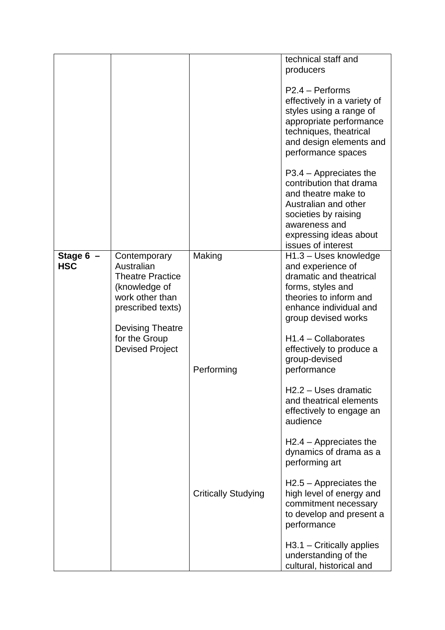|             |                         |                            | technical staff and                              |
|-------------|-------------------------|----------------------------|--------------------------------------------------|
|             |                         |                            | producers                                        |
|             |                         |                            | $P2.4 - Pertorms$                                |
|             |                         |                            | effectively in a variety of                      |
|             |                         |                            | styles using a range of                          |
|             |                         |                            | appropriate performance                          |
|             |                         |                            | techniques, theatrical                           |
|             |                         |                            | and design elements and                          |
|             |                         |                            | performance spaces                               |
|             |                         |                            | $P3.4 - Appreciates the$                         |
|             |                         |                            | contribution that drama                          |
|             |                         |                            | and theatre make to                              |
|             |                         |                            | Australian and other                             |
|             |                         |                            | societies by raising                             |
|             |                         |                            | awareness and                                    |
|             |                         |                            | expressing ideas about                           |
|             |                         |                            | issues of interest                               |
| Stage $6 -$ | Contemporary            | Making                     | H <sub>1.3</sub> – Uses knowledge                |
| <b>HSC</b>  | Australian              |                            | and experience of                                |
|             | <b>Theatre Practice</b> |                            | dramatic and theatrical                          |
|             | (knowledge of           |                            | forms, styles and                                |
|             | work other than         |                            | theories to inform and                           |
|             | prescribed texts)       |                            | enhance individual and                           |
|             | <b>Devising Theatre</b> |                            | group devised works                              |
|             | for the Group           |                            | $H1.4 - Collaborates$                            |
|             | <b>Devised Project</b>  |                            | effectively to produce a                         |
|             |                         |                            | group-devised                                    |
|             |                         | Performing                 | performance                                      |
|             |                         |                            |                                                  |
|             |                         |                            | H2.2 - Uses dramatic<br>and theatrical elements  |
|             |                         |                            | effectively to engage an                         |
|             |                         |                            | audience                                         |
|             |                         |                            | $H2.4 - Appreciates the$                         |
|             |                         |                            | dynamics of drama as a                           |
|             |                         |                            | performing art                                   |
|             |                         |                            | $H2.5 -$ Appreciates the                         |
|             |                         | <b>Critically Studying</b> | high level of energy and<br>commitment necessary |
|             |                         |                            | to develop and present a                         |
|             |                         |                            | performance                                      |
|             |                         |                            |                                                  |
|             |                         |                            | $H3.1 - Critically applies$                      |
|             |                         |                            | understanding of the                             |
|             |                         |                            | cultural, historical and                         |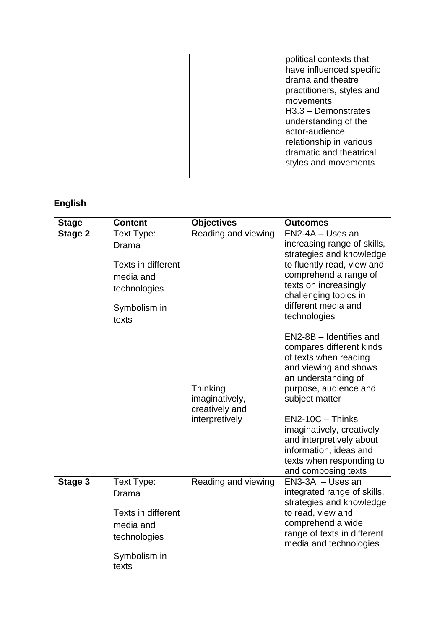|  | political contexts that<br>have influenced specific<br>drama and theatre<br>practitioners, styles and<br>movements<br>$H3.3 - Demonstrates$<br>understanding of the<br>actor-audience<br>relationship in various |
|--|------------------------------------------------------------------------------------------------------------------------------------------------------------------------------------------------------------------|
|  | dramatic and theatrical<br>styles and movements                                                                                                                                                                  |

# **English**

| <b>Stage</b>   | <b>Content</b>                                                                                  | <b>Objectives</b>                                              | <b>Outcomes</b>                                                                                                                                                                                                                                                                                                                     |
|----------------|-------------------------------------------------------------------------------------------------|----------------------------------------------------------------|-------------------------------------------------------------------------------------------------------------------------------------------------------------------------------------------------------------------------------------------------------------------------------------------------------------------------------------|
| <b>Stage 2</b> | Text Type:<br>Drama<br>Texts in different<br>media and<br>technologies<br>Symbolism in<br>texts | Reading and viewing                                            | EN2-4A - Uses an<br>increasing range of skills,<br>strategies and knowledge<br>to fluently read, view and<br>comprehend a range of<br>texts on increasingly<br>challenging topics in<br>different media and<br>technologies                                                                                                         |
|                |                                                                                                 | Thinking<br>imaginatively,<br>creatively and<br>interpretively | EN2-8B - Identifies and<br>compares different kinds<br>of texts when reading<br>and viewing and shows<br>an understanding of<br>purpose, audience and<br>subject matter<br>$EN2-10C - ThinkS$<br>imaginatively, creatively<br>and interpretively about<br>information, ideas and<br>texts when responding to<br>and composing texts |
| Stage 3        | Text Type:<br>Drama<br>Texts in different<br>media and<br>technologies<br>Symbolism in<br>texts | Reading and viewing                                            | $EN3-3A - Uses$ an<br>integrated range of skills,<br>strategies and knowledge<br>to read, view and<br>comprehend a wide<br>range of texts in different<br>media and technologies                                                                                                                                                    |